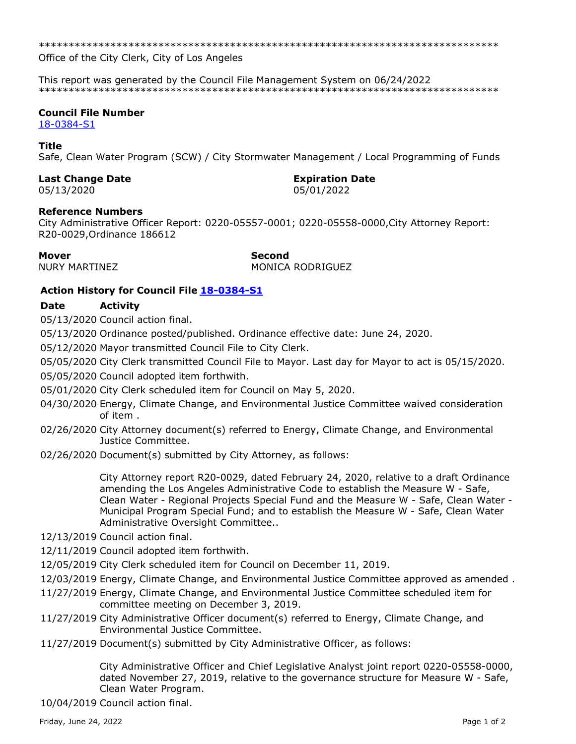\*\*\*\*\*\*\*\*\*\*\*\*\*\*\*\*\*\*\*\*\*\*\*\*\*\*\*\*\*\*\*\*\*\*\*\*\*\*\*\*\*\*\*\*\*\*\*\*\*\*\*\*\*\*\*\*\*\*\*\*\*\*\*\*\*\*\*\*\*\*\*\*\*\*\*\*\*

Office of the City Clerk, City of Los Angeles

This report was generated by the Council File Management System on 06/24/2022 \*\*\*\*\*\*\*\*\*\*\*\*\*\*\*\*\*\*\*\*\*\*\*\*\*\*\*\*\*\*\*\*\*\*\*\*\*\*\*\*\*\*\*\*\*\*\*\*\*\*\*\*\*\*\*\*\*\*\*\*\*\*\*\*\*\*\*\*\*\*\*\*\*\*\*\*\*

### **Council File Number**

[18-0384-S1](https://cityclerk.lacity.org/lacityclerkconnect/index.cfm?fa=ccfi.viewrecord&cfnumber=18-0384-S1)

### **Title**

Safe, Clean Water Program (SCW) / City Stormwater Management / Local Programming of Funds

## **Last Change Date Expiration Date**

05/13/2020 05/01/2022

## **Reference Numbers**

City Administrative Officer Report: 0220-05557-0001; 0220-05558-0000,City Attorney Report: R20-0029,Ordinance 186612

**Mover Second** NURY MARTINEZ MONICA RODRIGUEZ

# **Action History for Council File [18-0384-S1](https://cityclerk.lacity.org/lacityclerkconnect/index.cfm?fa=ccfi.viewrecord&cfnumber=18-0384-S1)**

## **Date Activity**

05/13/2020 Council action final.

05/13/2020 Ordinance posted/published. Ordinance effective date: June 24, 2020.

05/12/2020 Mayor transmitted Council File to City Clerk.

05/05/2020 City Clerk transmitted Council File to Mayor. Last day for Mayor to act is 05/15/2020.

05/05/2020 Council adopted item forthwith.

05/01/2020 City Clerk scheduled item for Council on May 5, 2020.

- 04/30/2020 Energy, Climate Change, and Environmental Justice Committee waived consideration of item .
- 02/26/2020 City Attorney document(s) referred to Energy, Climate Change, and Environmental Justice Committee.
- 02/26/2020 Document(s) submitted by City Attorney, as follows:

City Attorney report R20-0029, dated February 24, 2020, relative to a draft Ordinance amending the Los Angeles Administrative Code to establish the Measure W - Safe, Clean Water - Regional Projects Special Fund and the Measure W - Safe, Clean Water - Municipal Program Special Fund; and to establish the Measure W - Safe, Clean Water Administrative Oversight Committee..

#### 12/13/2019 Council action final.

12/11/2019 Council adopted item forthwith.

12/05/2019 City Clerk scheduled item for Council on December 11, 2019.

- 12/03/2019 Energy, Climate Change, and Environmental Justice Committee approved as amended .
- 11/27/2019 Energy, Climate Change, and Environmental Justice Committee scheduled item for committee meeting on December 3, 2019.
- 11/27/2019 City Administrative Officer document(s) referred to Energy, Climate Change, and Environmental Justice Committee.
- 11/27/2019 Document(s) submitted by City Administrative Officer, as follows:

City Administrative Officer and Chief Legislative Analyst joint report 0220-05558-0000, dated November 27, 2019, relative to the governance structure for Measure W - Safe, Clean Water Program.

10/04/2019 Council action final.